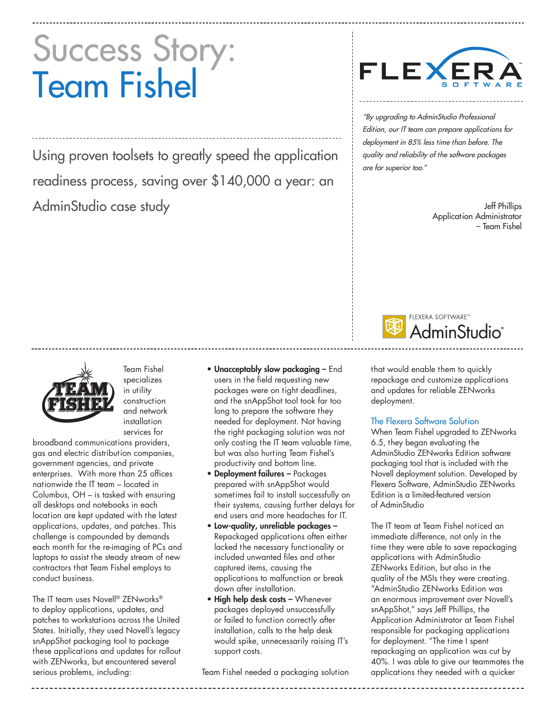# Success Story: Team Fishel

Using proven toolsets to greatly speed the application readiness process, saving over \$140,000 a year: an AdminStudio case study



"By upgrading to AdminStudio Professional Edition, our IT team can prepare applications for deployment in 85% less time than before. The quality and reliability of the software packages are far superior too."

> Jeff Phillips Application Administrator – Team Fishel





Team Fishel specializes in utility construction and network installation services for

broadband communications providers, gas and electric distribution companies, government agencies, and private enterprises. With more than 25 offices nationwide the IT team – located in Columbus, OH – is tasked with ensuring all desktops and notebooks in each location are kept updated with the latest applications, updates, and patches. This challenge is compounded by demands each month for the re-imaging of PCs and laptops to assist the steady stream of new contractors that Team Fishel employs to conduct business.

The IT team uses Novell® ZENworks® to deploy applications, updates, and patches to workstations across the United States. Initially, they used Novell's legacy snAppShot packaging tool to package these applications and updates for rollout with ZENworks, but encountered several serious problems, including:

- Unacceptably slow packaging End users in the field requesting new packages were on tight deadlines, and the snAppShot tool took far too long to prepare the software they needed for deployment. Not having the right packaging solution was not only costing the IT team valuable time, but was also hurting Team Fishel's productivity and bottom line.
- Deployment failures Packages prepared with snAppShot would sometimes fail to install successfully on their systems, causing further delays for end users and more headaches for IT.
- Low-quality, unreliable packages Repackaged applications often either lacked the necessary functionality or included unwanted files and other captured items, causing the applications to malfunction or break down after installation.
- High help desk costs Whenever packages deployed unsuccessfully or failed to function correctly after installation, calls to the help desk would spike, unnecessarily raising IT's support costs.

Team Fishel needed a packaging solution

that would enable them to quickly repackage and customize applications and updates for reliable ZENworks deployment.

The Flexera Software Solution

When Team Fishel upgraded to ZENworks 6.5, they began evaluating the AdminStudio ZENworks Edition software packaging tool that is included with the Novell deployment solution. Developed by Flexera Software, AdminStudio ZENworks Edition is a limited-featured version of AdminStudio

The IT team at Team Fishel noticed an immediate difference, not only in the time they were able to save repackaging applications with AdminStudio ZENworks Edition, but also in the quality of the MSIs they were creating. "AdminStudio ZENworks Edition was an enormous improvement over Novell's snAppShot," says Jeff Phillips, the Application Administrator at Team Fishel responsible for packaging applications for deployment. "The time I spent repackaging an application was cut by 40%. I was able to give our teammates the applications they needed with a quicker